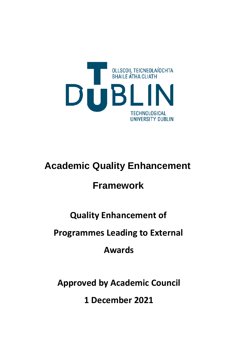

# **Academic Quality Enhancement**

## **Framework**

## **Quality Enhancement of**

### **Programmes Leading to External**

**Awards**

**Approved by Academic Council** 

**1 December 2021**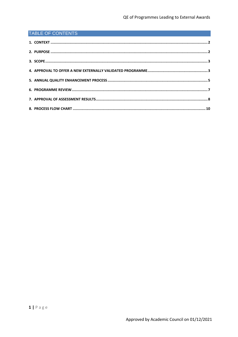#### **TABLE OF CONTENTS**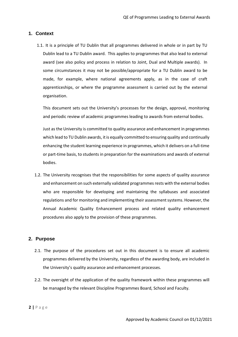#### <span id="page-2-0"></span>**1. Context**

1.1. It is a principle of TU Dublin that all programmes delivered in whole or in part by TU Dublin lead to a TU Dublin award. This applies to programmes that also lead to external award (see also policy and process in relation to Joint, Dual and Multiple awards). In some circumstances it may not be possible/appropriate for a TU Dublin award to be made, for example, where national agreements apply, as in the case of craft apprenticeships, or where the programme assessment is carried out by the external organisation.

This document sets out the University's processes for the design, approval, monitoring and periodic review of academic programmes leading to awards from external bodies.

Just as the University is committed to quality assurance and enhancement in programmes which lead to TU Dublin awards, it is equally committed to ensuring quality and continually enhancing the student learning experience in programmes, which it delivers on a full-time or part-time basis, to students in preparation for the examinations and awards of external bodies.

1.2. The University recognises that the responsibilities for some aspects of quality assurance and enhancement on such externally validated programmes rests with the external bodies who are responsible for developing and maintaining the syllabuses and associated regulations and for monitoring and implementing their assessment systems. However, the Annual Academic Quality Enhancement process and related quality enhancement procedures also apply to the provision of these programmes.

#### <span id="page-2-1"></span>**2. Purpose**

- 2.1. The purpose of the procedures set out in this document is to ensure all academic programmes delivered by the University, regardless of the awarding body, are included in the University's quality assurance and enhancement processes.
- 2.2. The oversight of the application of the quality framework within these programmes will be managed by the relevant Discipline Programmes Board, School and Faculty.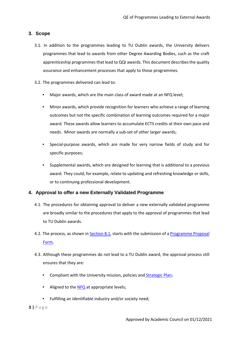#### <span id="page-3-0"></span>**3. Scope**

- 3.1. In addition to the programmes leading to TU Dublin awards, the University delivers programmes that lead to awards from other Degree Awarding Bodies, such as the craft apprenticeship programmes that lead to QQI awards. This document describes the quality assurance and enhancement processes that apply to those programmes.
- 3.2. The programmes delivered can lead to:
	- Major awards, which are the main class of award made at an NFQ level;
	- Minor awards, which provide recognition for learners who achieve a range of learning outcomes but not the specific combination of learning outcomes required for a major award. These awards allow learners to accumulate ECTS credits at their own pace and needs. Minor awards are normally a sub-set of other larger awards;
	- Special-purpose awards, which are made for very narrow fields of study and for specific purposes;
	- Supplemental awards, which are designed for learning that is additional to a previous award. They could, for example, relate to updating and refreshing knowledge or skills, or to continuing professional development.

#### <span id="page-3-1"></span>**4. Approval to offer a new Externally Validated Programme**

- 4.1. The procedures for obtaining approval to deliver a new externally validated programme are broadly similar to the procedures that apply to the approval of programmes that lead to TU Dublin awards.
- 4.2. The process, as shown in Section 8.1, starts with the submission of a Programme Proposal Form.
- 4.3. Although these programmes do not lead to a TU Dublin award, the approval process still ensures that they are:
	- Compliant with the University mission, policies and **Strategic Plan**;
	- Aligned to the **NFQ** at appropriate levels;
	- Fulfilling an identifiable industry and/or society need;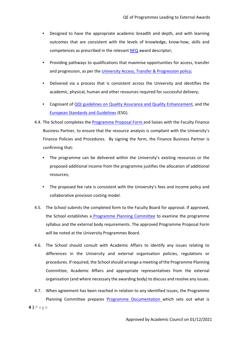- Designed to have the appropriate academic breadth and depth, and with learning outcomes that are consistent with the levels of knowledge, know-how, skills and competences as prescribed in the releva[nt NFQ](https://nfq.qqi.ie/) [a](https://nfq.qqi.ie/)ward descriptor;
- Providing pathways to qualifications that maximise opportunities for access, transfer and progression, as per the University Access, Transfer & Progression policy;
- Delivered via a process that is consistent across the University and identifies the academic, physical, human and other resources required for successful delivery;
- Cognisant of [QQI guidelines on Quality Assurance and Quality Enhancement,](https://www.qqi.ie/Articles/Pages/QA-Guidelines.aspx) and the [European Standards and Guidelines](https://enqa.eu/wp-content/uploads/2015/11/ESG_2015.pdf) [\(](https://enqa.eu/wp-content/uploads/2015/11/ESG_2015.pdf)ESG).
- 4.4. The School completes the Programme Proposal Form and liaises with the Faculty Finance Business Partner, to ensure that the resource analysis is compliant with the University's Finance Policies and Procedures. By signing the form, the Finance Business Partner is confirming that:
	- The programme can be delivered within the University's existing resources or the proposed additional income from the programme justifies the allocation of additional resources;
	- The proposed fee rate is consistent with the University's fees and income policy and collaborative provision costing model.
- 4.5. The School submits the completed form to the Faculty Board for approval. If approved, the School establishes a Programme Planning Committee to examine the programme syllabus and the external body requirements. The approved Programme Proposal Form will be noted at the University Programmes Board.
- 4.6. The School should consult with Academic Affairs to identify any issues relating to differences in the University and external organisation policies, regulations or procedures. If required, the School should arrange a meeting of the Programme Planning Committee, Academic Affairs and appropriate representatives from the external organisation (and where necessary the awarding body) to discuss and resolve any issues.
- 4.7. When agreement has been reached in relation to any identified issues, the Programme Planning Committee prepares **Programme Documentation** which sets out what is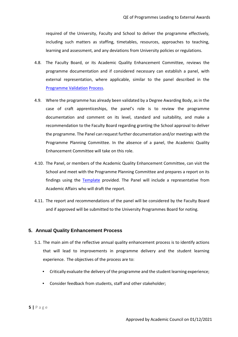required of the University, Faculty and School to deliver the programme effectively, including such matters as staffing, timetables, resources, approaches to teaching, learning and assessment, and any deviations from University policies or regulations.

- 4.8. The Faculty Board, or its Academic Quality Enhancement Committee, reviews the programme documentation and if considered necessary can establish a panel, with external representation, where applicable, similar to the panel described in the Programme Validation Process.
- 4.9. Where the programme has already been validated by a Degree Awarding Body, as in the case of craft apprenticeships, the panel's role is to review the programme documentation and comment on its level, standard and suitability, and make a recommendation to the Faculty Board regarding granting the School approval to deliver the programme. The Panel can request further documentation and/or meetings with the Programme Planning Committee. In the absence of a panel, the Academic Quality Enhancement Committee will take on this role.
- 4.10. The Panel, or members of the Academic Quality Enhancement Committee, can visit the School and meet with the Programme Planning Committee and prepares a report on its findings using the Template provided. The Panel will include a representative from Academic Affairs who will draft the report.
- 4.11. The report and recommendations of the panel will be considered by the Faculty Board and if approved will be submitted to the University Programmes Board for noting.

#### <span id="page-5-0"></span>**5. Annual Quality Enhancement Process**

- 5.1. The main aim of the reflective annual quality enhancement process is to identify actions that will lead to improvements in programme delivery and the student learning experience. The objectives of the process are to:
	- Critically evaluate the delivery of the programme and the student learning experience;
	- Consider feedback from students, staff and other stakeholder;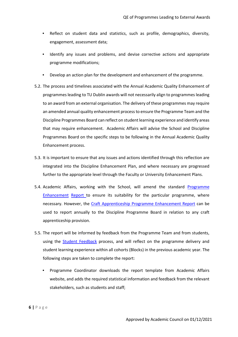- Reflect on student data and statistics, such as profile, demographics, diversity, engagement, assessment data;
- Identify any issues and problems, and devise corrective actions and appropriate programme modifications;
- Develop an action plan for the development and enhancement of the programme.
- 5.2. The process and timelines associated with the Annual Academic Quality Enhancement of programmes leading to TU Dublin awards will not necessarily align to programmes leading to an award from an external organisation. The delivery of these programmes may require an amended annual quality enhancement process to ensure the Programme Team and the Discipline Programmes Board can reflect on student learning experience and identify areas that may require enhancement. Academic Affairs will advise the School and Discipline Programmes Board on the specific steps to be following in the Annual Academic Quality Enhancement process.
- 5.3. It is important to ensure that any issues and actions identified through this reflection are integrated into the Discipline Enhancement Plan, and where necessary are progressed further to the appropriate level through the Faculty or University Enhancement Plans.
- 5.4. Academic Affairs, working with the School, will amend the standard Programme Enhancement Report to ensure its suitability for the particular programme, where necessary. However, the Craft Apprenticeship Programme Enhancement Report can be used to report annually to the Discipline Programme Board in relation to any craft apprenticeship provision.
- 5.5. The report will be informed by feedback from the Programme Team and from students, using the Student Feedback process, and will reflect on the programme delivery and student learning experience within all cohorts (Blocks) in the previous academic year. The following steps are taken to complete the report:
	- Programme Coordinator downloads the report template from Academic Affairs website, and adds the required statistical information and feedback from the relevant stakeholders, such as students and staff;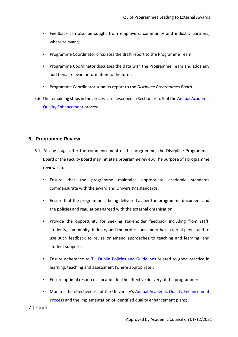- Feedback can also be sought from employers, community and industry partners, where relevant;
- Programme Coordinator circulates the draft report to the Programme Team;
- Programme Coordinator discusses the data with the Programme Team and adds any additional relevant information to the form;
- Programme Coordinator submits report to the *Discipline Programmes Board*.
- 5.6. The remaining steps in the process are described in Sections 6 to 9 of the Annual Academic Quality Enhancement process.

#### <span id="page-7-0"></span>**6. Programme Review**

- 6.1. At any stage after the commencement of the programme, the Discipline Programmes Board or the Faculty Board may initiate a programme review. The purpose of a programme review is to:
	- Ensure that the programme maintains appropriate academic standards commensurate with the award and University's standards;
	- Ensure that the programme is being delivered as per the programme document and the policies and regulations agreed with the external organisation;
	- Provide the opportunity for seeking stakeholder feedback including from staff, students, community, industry and the professions and other external peers, and to use such feedback to revise or amend approaches to teaching and learning, and student supports;
	- Ensure adherence to TU Dublin Policies and Guidelines related to good practice in learning, teaching and assessment (where appropriate);
	- Ensure optimal resource allocation for the effective delivery of the programme;
	- Monitor the effectiveness of the University's Annual Academic Quality Enhancement Process and the implementation of identified quality enhancement plans;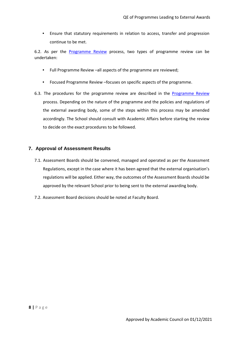• Ensure that statutory requirements in relation to access, transfer and progression continue to be met.

6.2. As per the Programme Review process, two types of programme review can be undertaken:

- Full Programme Review –all aspects of the programme are reviewed;
- Focused Programme Review –focuses on specific aspects of the programme.
- 6.3. The procedures for the programme review are described in the **Programme Review** process. Depending on the nature of the programme and the policies and regulations of the external awarding body, some of the steps within this process may be amended accordingly. The School should consult with Academic Affairs before starting the review to decide on the exact procedures to be followed.

#### <span id="page-8-0"></span>**7. Approval of Assessment Results**

- 7.1. Assessment Boards should be convened, managed and operated as per the Assessment Regulations, except in the case where it has been agreed that the external organisation's regulations will be applied. Either way, the outcomes of the Assessment Boards should be approved by the relevant School prior to being sent to the external awarding body.
- 7.2. Assessment Board decisions should be noted at Faculty Board.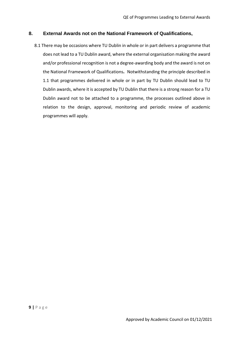#### **8. External Awards not on the National Framework of Qualifications,**

8.1 There may be occasions where TU Dublin in whole or in part delivers a programme that does not lead to a TU Dublin award, where the external organisation making the award and/or professional recognition is not a degree-awarding body and the award is not on the National Framework of Qualifications**.** Notwithstanding the principle described in 1.1 that programmes delivered in whole or in part by TU Dublin should lead to TU Dublin awards, where it is accepted by TU Dublin that there is a strong reason for a TU Dublin award not to be attached to a programme, the processes outlined above in relation to the design, approval, monitoring and periodic review of academic programmes will apply.